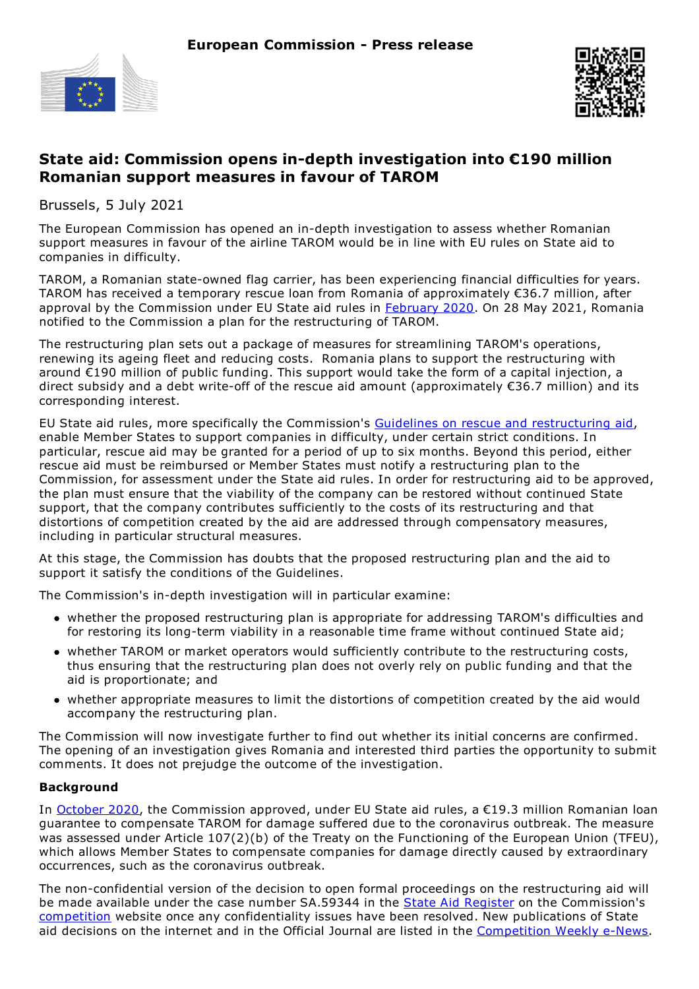



## **State aid: Commission opens in-depth investigation into €190 million Romanian support measures in favour of TAROM**

Brussels, 5 July 2021

The European Commission has opened an in-depth investigation to assess whether Romanian support measures in favour of the airline TAROM would be in line with EU rules on State aid to companies in difficulty.

TAROM, a Romanian state-owned flag carrier, has been experiencing financial difficulties for years. TAROM has received a temporary rescue loan from Romania of approximately €36.7 million, after approval by the Commission under EU State aid rules in [February](https://ec.europa.eu/commission/presscorner/detail/en/ip_20_312) 2020. On 28 May 2021, Romania notified to the Commission a plan for the restructuring of TAROM.

The restructuring plan sets out a package of measures for streamlining TAROM's operations, renewing its ageing fleet and reducing costs. Romania plans to support the restructuring with around €190 million of public funding. This support would take the form of a capital injection, a direct subsidy and a debt write-off of the rescue aid amount (approximately €36.7 million) and its corresponding interest.

EU State aid rules, more specifically the Commission's Guidelines on rescue and [restructuring](http://eur-lex.europa.eu/legal-content/EN/TXT/?uri=CELEX%253A52014XC0731(01)) aid, enable Member States to support companies in difficulty, under certain strict conditions. In particular, rescue aid may be granted for a period of up to six months. Beyond this period, either rescue aid must be reimbursed or Member States must notify a restructuring plan to the Commission, for assessment under the State aid rules. In order for restructuring aid to be approved, the plan must ensure that the viability of the company can be restored without continued State support, that the company contributes sufficiently to the costs of its restructuring and that distortions of competition created by the aid are addressed through compensatory measures, including in particular structural measures.

At this stage, the Commission has doubts that the proposed restructuring plan and the aid to support it satisfy the conditions of the Guidelines.

The Commission's in-depth investigation will in particular examine:

- whether the proposed restructuring plan is appropriate for addressing TAROM's difficulties and for restoring its long-term viability in a reasonable time frame without continued State aid;
- whether TAROM or market operators would sufficiently contribute to the restructuring costs, thus ensuring that the restructuring plan does not overly rely on public funding and that the aid is proportionate; and
- whether appropriate measures to limit the distortions of competition created by the aid would accompany the restructuring plan.

The Commission will now investigate further to find out whether its initial concerns are confirmed. The opening of an investigation gives Romania and interested third parties the opportunity to submit comments. It does not prejudge the outcome of the investigation.

## **Background**

In [October](https://ec.europa.eu/commission/presscorner/detail/en/mex_20_1822) 2020, the Commission approved, under EU State aid rules, a €19.3 million Romanian loan guarantee to compensate TAROM for damage suffered due to the coronavirus outbreak. The measure was assessed under Article 107(2)(b) of the Treaty on the Functioning of the European Union (TFEU), which allows Member States to compensate companies for damage directly caused by extraordinary occurrences, such as the coronavirus outbreak.

The non-confidential version of the decision to open formal proceedings on the restructuring aid will be made available under the case number SA.59344 in the **State Aid [Register](http://ec.europa.eu/competition/state_aid/register/)** on the Commission's [competition](http://ec.europa.eu/competition/index_en.html) website once any confidentiality issues have been resolved. New publications of State aid decisions on the internet and in the Official Journal are listed in the [Competition](https://ec.europa.eu/newsroom/comp/newsletter-archives/view/service/2012) Weekly e-News.